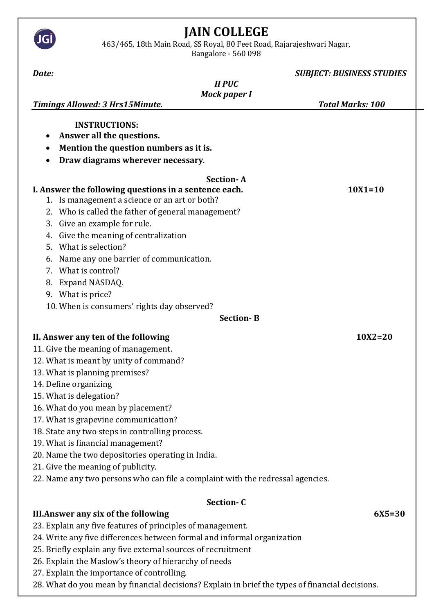## **JAIN COLLEGE**

463/465, 18th Main Road, SS Royal, 80 Feet Road, Rajarajeshwari Nagar,

JG

Bangalore - 560 098

| Date:                                                                                                                                                                                                                                                                                                                                                                                                                                                                                                                                                         | <b>SUBJECT: BUSINESS STUDIES</b> |
|---------------------------------------------------------------------------------------------------------------------------------------------------------------------------------------------------------------------------------------------------------------------------------------------------------------------------------------------------------------------------------------------------------------------------------------------------------------------------------------------------------------------------------------------------------------|----------------------------------|
| <b>II PUC</b>                                                                                                                                                                                                                                                                                                                                                                                                                                                                                                                                                 |                                  |
| <b>Mock paper I</b>                                                                                                                                                                                                                                                                                                                                                                                                                                                                                                                                           |                                  |
| <b>Timings Allowed: 3 Hrs15Minute.</b>                                                                                                                                                                                                                                                                                                                                                                                                                                                                                                                        | <b>Total Marks: 100</b>          |
| <b>INSTRUCTIONS:</b><br>Answer all the questions.<br>$\bullet$<br>Mention the question numbers as it is.<br>٠<br>Draw diagrams wherever necessary.<br>٠                                                                                                                                                                                                                                                                                                                                                                                                       |                                  |
| <b>Section-A</b>                                                                                                                                                                                                                                                                                                                                                                                                                                                                                                                                              |                                  |
| I. Answer the following questions in a sentence each.<br>1. Is management a science or an art or both?<br>2. Who is called the father of general management?<br>Give an example for rule.<br>3.<br>Give the meaning of centralization<br>4.<br>What is selection?<br>.5.<br>Name any one barrier of communication.<br>6.<br>What is control?<br>7.                                                                                                                                                                                                            | $10X1 = 10$                      |
| Expand NASDAQ.<br>8.                                                                                                                                                                                                                                                                                                                                                                                                                                                                                                                                          |                                  |
| 9. What is price?                                                                                                                                                                                                                                                                                                                                                                                                                                                                                                                                             |                                  |
| 10. When is consumers' rights day observed?                                                                                                                                                                                                                                                                                                                                                                                                                                                                                                                   |                                  |
| <b>Section-B</b>                                                                                                                                                                                                                                                                                                                                                                                                                                                                                                                                              |                                  |
| II. Answer any ten of the following<br>11. Give the meaning of management.<br>12. What is meant by unity of command?<br>13. What is planning premises?<br>14. Define organizing<br>15. What is delegation?<br>16. What do you mean by placement?<br>17. What is grapevine communication?<br>18. State any two steps in controlling process.<br>19. What is financial management?<br>20. Name the two depositories operating in India.<br>21. Give the meaning of publicity.<br>22. Name any two persons who can file a complaint with the redressal agencies. | $10X2 = 20$                      |
|                                                                                                                                                                                                                                                                                                                                                                                                                                                                                                                                                               |                                  |
| Section-C<br><b>III. Answer any six of the following</b><br>23. Explain any five features of principles of management.<br>24. Write any five differences between formal and informal organization<br>25. Briefly explain any five external sources of recruitment<br>26. Explain the Maslow's theory of hierarchy of needs<br>27. Explain the importance of controlling.                                                                                                                                                                                      | $6X5 = 30$                       |

28. What do you mean by financial decisions? Explain in brief the types of financial decisions.